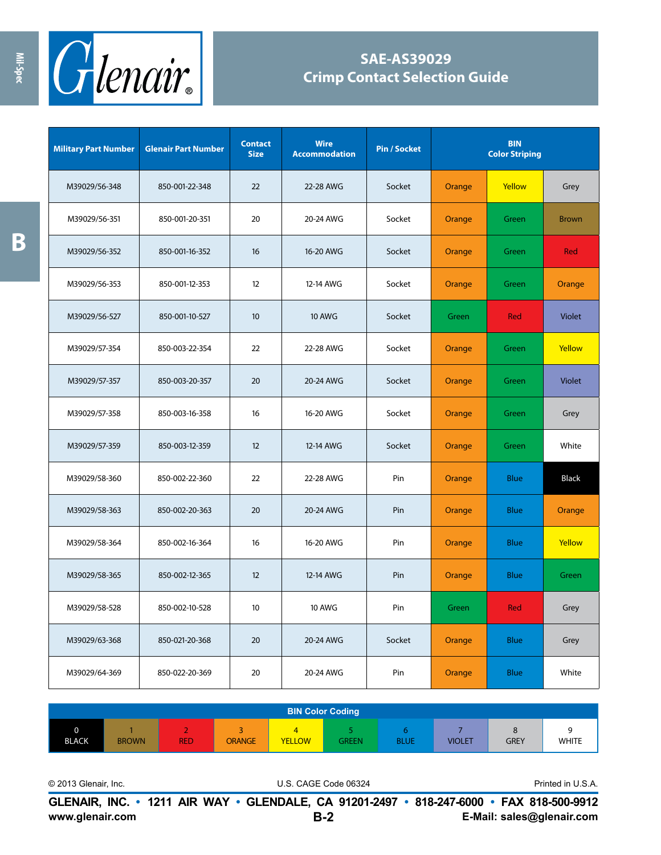

## **SAE-AS39029 Crimp Contact Selection Guide**

| <b>Military Part Number</b> | <b>Glenair Part Number</b> | <b>Contact</b><br><b>Size</b> | <b>Wire</b><br><b>Accommodation</b> | <b>Pin / Socket</b> |        | <b>BIN</b><br><b>Color Striping</b> |               |
|-----------------------------|----------------------------|-------------------------------|-------------------------------------|---------------------|--------|-------------------------------------|---------------|
| M39029/56-348               | 850-001-22-348             | 22                            | 22-28 AWG                           | Socket              | Orange | Yellow                              | Grey          |
| M39029/56-351               | 850-001-20-351             | 20                            | 20-24 AWG                           | Socket              | Orange | Green                               | <b>Brown</b>  |
| M39029/56-352               | 850-001-16-352             | 16                            | 16-20 AWG                           | Socket              | Orange | Green                               | Red           |
| M39029/56-353               | 850-001-12-353             | 12                            | 12-14 AWG                           | Socket              | Orange | Green                               | Orange        |
| M39029/56-527               | 850-001-10-527             | 10                            | <b>10 AWG</b>                       | Socket              | Green  | Red                                 | <b>Violet</b> |
| M39029/57-354               | 850-003-22-354             | 22                            | 22-28 AWG                           | Socket              | Orange | Green                               | Yellow        |
| M39029/57-357               | 850-003-20-357             | 20                            | 20-24 AWG                           | Socket              | Orange | Green                               | <b>Violet</b> |
| M39029/57-358               | 850-003-16-358             | 16                            | 16-20 AWG                           | Socket              | Orange | Green                               | Grey          |
| M39029/57-359               | 850-003-12-359             | 12                            | 12-14 AWG                           | Socket              | Orange | Green                               | White         |
| M39029/58-360               | 850-002-22-360             | 22                            | 22-28 AWG                           | Pin                 | Orange | <b>Blue</b>                         | <b>Black</b>  |
| M39029/58-363               | 850-002-20-363             | 20                            | 20-24 AWG                           | Pin                 | Orange | <b>Blue</b>                         | Orange        |
| M39029/58-364               | 850-002-16-364             | 16                            | 16-20 AWG                           | Pin                 | Orange | <b>Blue</b>                         | Yellow        |
| M39029/58-365               | 850-002-12-365             | 12                            | 12-14 AWG                           | Pin                 | Orange | <b>Blue</b>                         | Green         |
| M39029/58-528               | 850-002-10-528             | 10                            | <b>10 AWG</b>                       | Pin                 | Green  | Red                                 | Grey          |
| M39029/63-368               | 850-021-20-368             | 20                            | 20-24 AWG                           | Socket              | Orange | <b>Blue</b>                         | Grey          |
| M39029/64-369               | 850-022-20-369             | 20                            | 20-24 AWG                           | Pin                 | Orange | <b>Blue</b>                         | White         |

|              | <b>BIN Color Coding</b> |                 |               |                     |       |             |               |             |              |  |  |
|--------------|-------------------------|-----------------|---------------|---------------------|-------|-------------|---------------|-------------|--------------|--|--|
| <b>BLACK</b> | <b>BROWN</b>            | ÷<br><b>RED</b> | <b>ORANGE</b> | 47<br><b>YELLOW</b> | GREEN | <b>BLUE</b> | <b>VIOLET</b> | <b>GREY</b> | <b>WHITE</b> |  |  |

© 2013 Glenair, Inc. U.S. CAGE Code 06324 Printed in U.S.A.

**www.glenair.com E-Mail: sales@glenair.com GLENAIR, INC. • 1211 AIR WAY • GLENDALE, CA 91201-2497 • 818-247-6000 • FAX 818-500-9912 B-2**

**B**